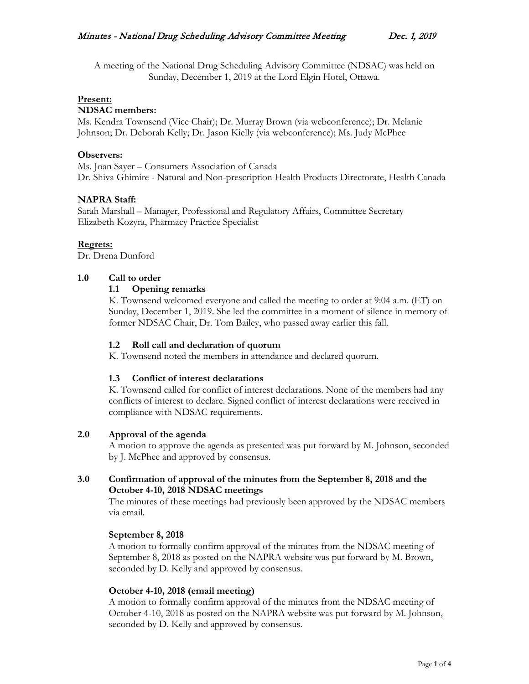A meeting of the National Drug Scheduling Advisory Committee (NDSAC) was held on Sunday, December 1, 2019 at the Lord Elgin Hotel, Ottawa.

## **Present:**

### **NDSAC members:**

Ms. Kendra Townsend (Vice Chair); Dr. Murray Brown (via webconference); Dr. Melanie Johnson; Dr. Deborah Kelly; Dr. Jason Kielly (via webconference); Ms. Judy McPhee

## **Observers:**

Ms. Joan Sayer – Consumers Association of Canada Dr. Shiva Ghimire - Natural and Non-prescription Health Products Directorate, Health Canada

## **NAPRA Staff:**

Sarah Marshall – Manager, Professional and Regulatory Affairs, Committee Secretary Elizabeth Kozyra, Pharmacy Practice Specialist

### **Regrets:**

Dr. Drena Dunford

### **1.0 Call to order**

### **1.1 Opening remarks**

K. Townsend welcomed everyone and called the meeting to order at 9:04 a.m. (ET) on Sunday, December 1, 2019. She led the committee in a moment of silence in memory of former NDSAC Chair, Dr. Tom Bailey, who passed away earlier this fall.

### **1.2 Roll call and declaration of quorum**

K. Townsend noted the members in attendance and declared quorum.

## **1.3 Conflict of interest declarations**

K. Townsend called for conflict of interest declarations. None of the members had any conflicts of interest to declare. Signed conflict of interest declarations were received in compliance with NDSAC requirements.

## **2.0 Approval of the agenda**

A motion to approve the agenda as presented was put forward by M. Johnson, seconded by J. McPhee and approved by consensus.

## **3.0 Confirmation of approval of the minutes from the September 8, 2018 and the October 4-10, 2018 NDSAC meetings**

The minutes of these meetings had previously been approved by the NDSAC members via email.

#### **September 8, 2018**

A motion to formally confirm approval of the minutes from the NDSAC meeting of September 8, 2018 as posted on the NAPRA website was put forward by M. Brown, seconded by D. Kelly and approved by consensus.

#### **October 4-10, 2018 (email meeting)**

A motion to formally confirm approval of the minutes from the NDSAC meeting of October 4-10, 2018 as posted on the NAPRA website was put forward by M. Johnson, seconded by D. Kelly and approved by consensus.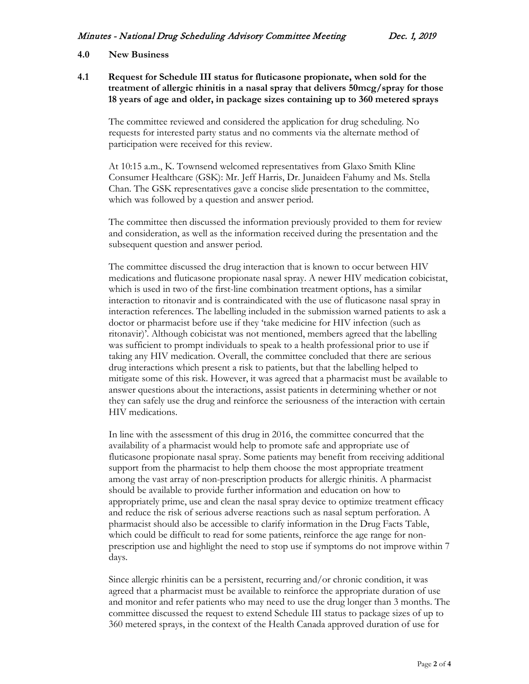## **4.0 New Business**

**4.1 Request for Schedule III status for fluticasone propionate, when sold for the treatment of allergic rhinitis in a nasal spray that delivers 50mcg/spray for those 18 years of age and older, in package sizes containing up to 360 metered sprays**

The committee reviewed and considered the application for drug scheduling. No requests for interested party status and no comments via the alternate method of participation were received for this review.

At 10:15 a.m., K. Townsend welcomed representatives from Glaxo Smith Kline Consumer Healthcare (GSK): Mr. Jeff Harris, Dr. Junaideen Fahumy and Ms. Stella Chan. The GSK representatives gave a concise slide presentation to the committee, which was followed by a question and answer period.

The committee then discussed the information previously provided to them for review and consideration, as well as the information received during the presentation and the subsequent question and answer period.

The committee discussed the drug interaction that is known to occur between HIV medications and fluticasone propionate nasal spray. A newer HIV medication cobicistat, which is used in two of the first-line combination treatment options, has a similar interaction to ritonavir and is contraindicated with the use of fluticasone nasal spray in interaction references. The labelling included in the submission warned patients to ask a doctor or pharmacist before use if they 'take medicine for HIV infection (such as ritonavir)'. Although cobicistat was not mentioned, members agreed that the labelling was sufficient to prompt individuals to speak to a health professional prior to use if taking any HIV medication. Overall, the committee concluded that there are serious drug interactions which present a risk to patients, but that the labelling helped to mitigate some of this risk. However, it was agreed that a pharmacist must be available to answer questions about the interactions, assist patients in determining whether or not they can safely use the drug and reinforce the seriousness of the interaction with certain HIV medications.

In line with the assessment of this drug in 2016, the committee concurred that the availability of a pharmacist would help to promote safe and appropriate use of fluticasone propionate nasal spray. Some patients may benefit from receiving additional support from the pharmacist to help them choose the most appropriate treatment among the vast array of non-prescription products for allergic rhinitis. A pharmacist should be available to provide further information and education on how to appropriately prime, use and clean the nasal spray device to optimize treatment efficacy and reduce the risk of serious adverse reactions such as nasal septum perforation. A pharmacist should also be accessible to clarify information in the Drug Facts Table, which could be difficult to read for some patients, reinforce the age range for nonprescription use and highlight the need to stop use if symptoms do not improve within 7 days.

Since allergic rhinitis can be a persistent, recurring and/or chronic condition, it was agreed that a pharmacist must be available to reinforce the appropriate duration of use and monitor and refer patients who may need to use the drug longer than 3 months. The committee discussed the request to extend Schedule III status to package sizes of up to 360 metered sprays, in the context of the Health Canada approved duration of use for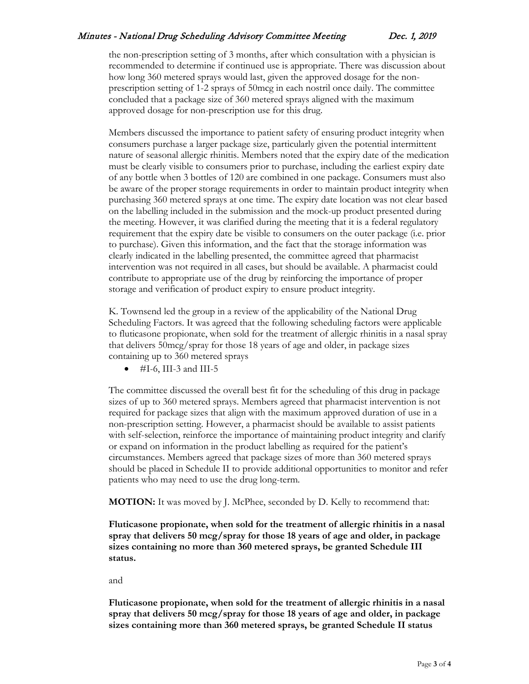## Minutes - National Drug Scheduling Advisory Committee Meeting Dec. 1, 2019

the non-prescription setting of 3 months, after which consultation with a physician is recommended to determine if continued use is appropriate. There was discussion about how long 360 metered sprays would last, given the approved dosage for the nonprescription setting of 1-2 sprays of 50mcg in each nostril once daily. The committee concluded that a package size of 360 metered sprays aligned with the maximum approved dosage for non-prescription use for this drug.

Members discussed the importance to patient safety of ensuring product integrity when consumers purchase a larger package size, particularly given the potential intermittent nature of seasonal allergic rhinitis. Members noted that the expiry date of the medication must be clearly visible to consumers prior to purchase, including the earliest expiry date of any bottle when 3 bottles of 120 are combined in one package. Consumers must also be aware of the proper storage requirements in order to maintain product integrity when purchasing 360 metered sprays at one time. The expiry date location was not clear based on the labelling included in the submission and the mock-up product presented during the meeting. However, it was clarified during the meeting that it is a federal regulatory requirement that the expiry date be visible to consumers on the outer package (i.e. prior to purchase). Given this information, and the fact that the storage information was clearly indicated in the labelling presented, the committee agreed that pharmacist intervention was not required in all cases, but should be available. A pharmacist could contribute to appropriate use of the drug by reinforcing the importance of proper storage and verification of product expiry to ensure product integrity.

K. Townsend led the group in a review of the applicability of the National Drug Scheduling Factors. It was agreed that the following scheduling factors were applicable to fluticasone propionate, when sold for the treatment of allergic rhinitis in a nasal spray that delivers 50mcg/spray for those 18 years of age and older, in package sizes containing up to 360 metered sprays

 $#I-6$ , III-3 and III-5

The committee discussed the overall best fit for the scheduling of this drug in package sizes of up to 360 metered sprays. Members agreed that pharmacist intervention is not required for package sizes that align with the maximum approved duration of use in a non-prescription setting. However, a pharmacist should be available to assist patients with self-selection, reinforce the importance of maintaining product integrity and clarify or expand on information in the product labelling as required for the patient's circumstances. Members agreed that package sizes of more than 360 metered sprays should be placed in Schedule II to provide additional opportunities to monitor and refer patients who may need to use the drug long-term.

**MOTION:** It was moved by J. McPhee, seconded by D. Kelly to recommend that:

**Fluticasone propionate, when sold for the treatment of allergic rhinitis in a nasal spray that delivers 50 mcg/spray for those 18 years of age and older, in package sizes containing no more than 360 metered sprays, be granted Schedule III status.**

and

**Fluticasone propionate, when sold for the treatment of allergic rhinitis in a nasal spray that delivers 50 mcg/spray for those 18 years of age and older, in package sizes containing more than 360 metered sprays, be granted Schedule II status**